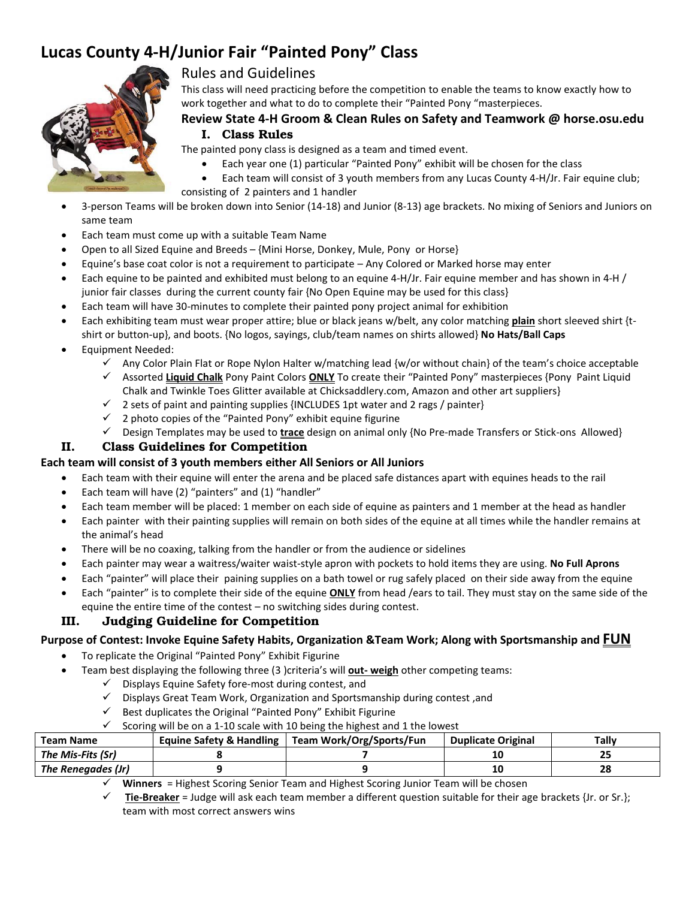# **Lucas County 4-H/Junior Fair "Painted Pony" Class**



# Rules and Guidelines

This class will need practicing before the competition to enable the teams to know exactly how to work together and what to do to complete their "Painted Pony "masterpieces.

## **Review State 4-H Groom & Clean Rules on Safety and Teamwork @ horse.osu.edu I. Class Rules**

The painted pony class is designed as a team and timed event.

- Each year one (1) particular "Painted Pony" exhibit will be chosen for the class
- Each team will consist of 3 youth members from any Lucas County 4-H/Jr. Fair equine club; consisting of 2 painters and 1 handler
- 3-person Teams will be broken down into Senior (14-18) and Junior (8-13) age brackets. No mixing of Seniors and Juniors on same team
- Each team must come up with a suitable Team Name
- Open to all Sized Equine and Breeds {Mini Horse, Donkey, Mule, Pony or Horse}
- Equine's base coat color is not a requirement to participate Any Colored or Marked horse may enter
- Each equine to be painted and exhibited must belong to an equine 4-H/Jr. Fair equine member and has shown in 4-H / junior fair classes during the current county fair {No Open Equine may be used for this class}
- Each team will have 30-minutes to complete their painted pony project animal for exhibition
- Each exhibiting team must wear proper attire; blue or black jeans w/belt, any color matching **plain** short sleeved shirt {tshirt or button-up}, and boots. {No logos, sayings, club/team names on shirts allowed} **No Hats/Ball Caps**
- Equipment Needed:
	- Any Color Plain Flat or Rope Nylon Halter w/matching lead {w/or without chain} of the team's choice acceptable
	- Assorted **Liquid Chalk** Pony Paint Colors **ONLY** To create their "Painted Pony" masterpieces {Pony Paint Liquid Chalk and Twinkle Toes Glitter available at Chicksaddlery.com, Amazon and other art suppliers}
	- $\checkmark$  2 sets of paint and painting supplies {INCLUDES 1pt water and 2 rags / painter}
	- $\checkmark$  2 photo copies of the "Painted Pony" exhibit equine figurine
	- Design Templates may be used to **trace** design on animal only {No Pre-made Transfers or Stick-ons Allowed}

#### **II. Class Guidelines for Competition**

#### **Each team will consist of 3 youth members either All Seniors or All Juniors**

- Each team with their equine will enter the arena and be placed safe distances apart with equines heads to the rail
- Each team will have (2) "painters" and (1) "handler"
- Each team member will be placed: 1 member on each side of equine as painters and 1 member at the head as handler
- Each painter with their painting supplies will remain on both sides of the equine at all times while the handler remains at the animal's head
- There will be no coaxing, talking from the handler or from the audience or sidelines
- Each painter may wear a waitress/waiter waist-style apron with pockets to hold items they are using. **No Full Aprons**
- Each "painter" will place their paining supplies on a bath towel or rug safely placed on their side away from the equine
- Each "painter" is to complete their side of the equine **ONLY** from head /ears to tail. They must stay on the same side of the equine the entire time of the contest – no switching sides during contest.

## **III. Judging Guideline for Competition**

#### **Purpose of Contest: Invoke Equine Safety Habits, Organization &Team Work; Along with Sportsmanship and FUN**

- To replicate the Original "Painted Pony" Exhibit Figurine
- Team best displaying the following three (3) criteria's will **out-weigh** other competing teams:
	- $\checkmark$  Displays Equine Safety fore-most during contest, and
	- $\checkmark$  Displays Great Team Work, Organization and Sportsmanship during contest, and
	- $\checkmark$  Best duplicates the Original "Painted Pony" Exhibit Figurine
	- Scoring will be on a 1-10 scale with 10 being the highest and 1 the lowest

| Team Name          | Equine Safety & Handling   Team Work/Org/Sports/Fun | <b>Duplicate Original</b> | Tallv |
|--------------------|-----------------------------------------------------|---------------------------|-------|
| The Mis-Fits (Sr)  |                                                     |                           |       |
| The Renegades (Jr) |                                                     |                           | 28    |

**Winners** = Highest Scoring Senior Team and Highest Scoring Junior Team will be chosen

 **Tie-Breaker** = Judge will ask each team member a different question suitable for their age brackets {Jr. or Sr.}; team with most correct answers wins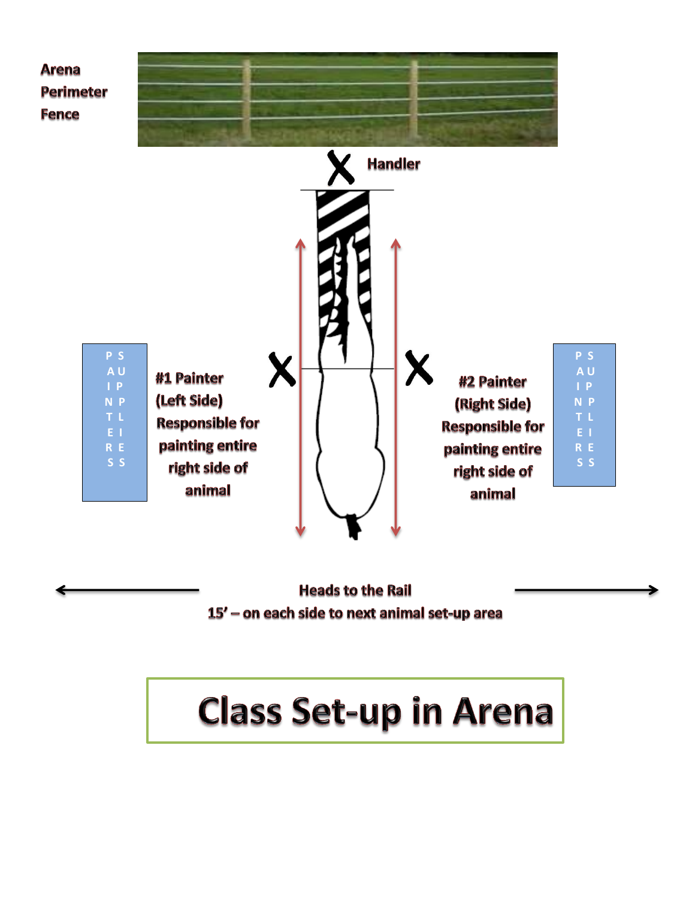

**Heads to the Rail** 15' - on each side to next animal set-up area

# **Class Set-up in Arena**